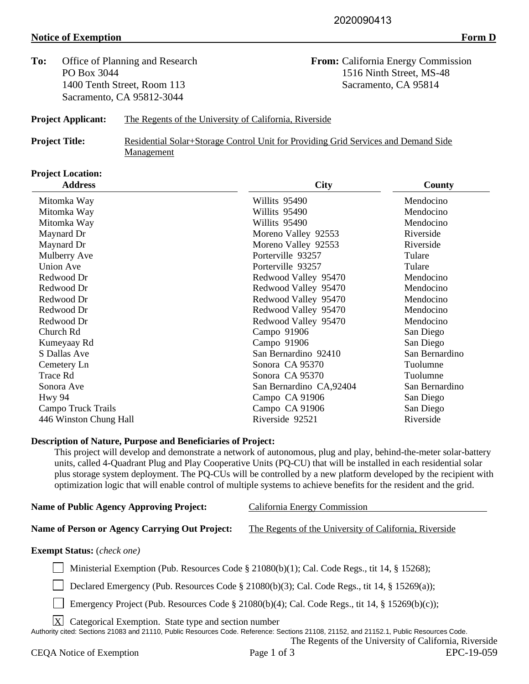## **Notice of Exemption** Form D

To: Office of Planning and Research **From:** California Energy Commission PO Box 3044 1516 Ninth Street, MS-48 1400 Tenth Street, Room 113 Sacramento, CA 95814 Sacramento, CA 95812-3044

## **Project Applicant:** The Regents of the University of California, Riverside

**Project Title:** Residential Solar+Storage Control Unit for Providing Grid Services and Demand Side Management

## **Project Location:**

| <b>Address</b>         | <b>City</b>             | County         |
|------------------------|-------------------------|----------------|
| Mitomka Way            | Willits 95490           | Mendocino      |
| Mitomka Way            | Willits 95490           | Mendocino      |
| Mitomka Way            | Willits 95490           | Mendocino      |
| Maynard Dr             | Moreno Valley 92553     | Riverside      |
| Maynard Dr             | Moreno Valley 92553     | Riverside      |
| Mulberry Ave           | Porterville 93257       | Tulare         |
| Union Ave              | Porterville 93257       | Tulare         |
| Redwood Dr             | Redwood Valley 95470    | Mendocino      |
| Redwood Dr             | Redwood Valley 95470    | Mendocino      |
| Redwood Dr             | Redwood Valley 95470    | Mendocino      |
| Redwood Dr             | Redwood Valley 95470    | Mendocino      |
| Redwood Dr             | Redwood Valley 95470    | Mendocino      |
| Church Rd              | Campo 91906             | San Diego      |
| Kumeyaay Rd            | Campo 91906             | San Diego      |
| S Dallas Ave           | San Bernardino 92410    | San Bernardino |
| Cemetery Ln            | Sonora CA 95370         | Tuolumne       |
| Trace Rd               | Sonora CA 95370         | Tuolumne       |
| Sonora Ave             | San Bernardino CA,92404 | San Bernardino |
| Hwy 94                 | Campo CA 91906          | San Diego      |
| Campo Truck Trails     | Campo CA 91906          | San Diego      |
| 446 Winston Chung Hall | Riverside 92521         | Riverside      |

### **Description of Nature, Purpose and Beneficiaries of Project:**

This project will develop and demonstrate a network of autonomous, plug and play, behind-the-meter solar-battery units, called 4-Quadrant Plug and Play Cooperative Units (PQ-CU) that will be installed in each residential solar plus storage system deployment. The PQ-CUs will be controlled by a new platform developed by the recipient with optimization logic that will enable control of multiple systems to achieve benefits for the resident and the grid.

| Name of Public Agency Approving Project:       | California Energy Commission                           |
|------------------------------------------------|--------------------------------------------------------|
|                                                |                                                        |
| Name of Person or Agency Carrying Out Project: | The Regents of the University of California, Riverside |
|                                                |                                                        |
| <b>Exempt Status:</b> ( <i>check one</i> )     |                                                        |
|                                                |                                                        |

Ministerial Exemption (Pub. Resources Code § 21080(b)(1); Cal. Code Regs., tit 14, § 15268);

Declared Emergency (Pub. Resources Code § 21080(b)(3); Cal. Code Regs., tit 14, § 15269(a));

Emergency Project (Pub. Resources Code § 21080(b)(4); Cal. Code Regs., tit 14, § 15269(b)(c));

 $X$  Categorical Exemption. State type and section number

Authority cited: Sections 21083 and 21110, Public Resources Code. Reference: Sections 21108, 21152, and 21152.1, Public Resources Code.

The Regents of the University of California, Riverside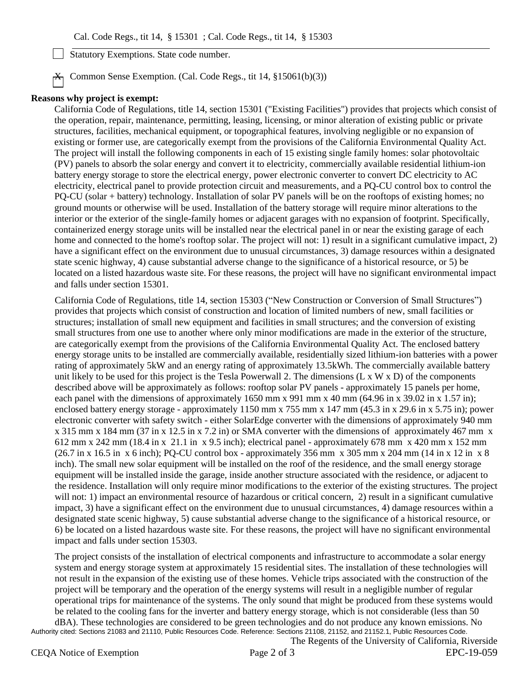Statutory Exemptions. State code number.

 $\overline{X_1}$  Common Sense Exemption. (Cal. Code Regs., tit 14, §15061(b)(3))

#### **Reasons why project is exempt:**

California Code of Regulations, title 14, section 15301 ("Existing Facilities") provides that projects which consist of the operation, repair, maintenance, permitting, leasing, licensing, or minor alteration of existing public or private structures, facilities, mechanical equipment, or topographical features, involving negligible or no expansion of existing or former use, are categorically exempt from the provisions of the California Environmental Quality Act. The project will install the following components in each of 15 existing single family homes: solar photovoltaic (PV) panels to absorb the solar energy and convert it to electricity, commercially available residential lithium-ion battery energy storage to store the electrical energy, power electronic converter to convert DC electricity to AC electricity, electrical panel to provide protection circuit and measurements, and a PQ-CU control box to control the PQ-CU (solar + battery) technology. Installation of solar PV panels will be on the rooftops of existing homes; no ground mounts or otherwise will be used. Installation of the battery storage will require minor alterations to the interior or the exterior of the single-family homes or adjacent garages with no expansion of footprint. Specifically, containerized energy storage units will be installed near the electrical panel in or near the existing garage of each home and connected to the home's rooftop solar. The project will not: 1) result in a significant cumulative impact, 2) have a significant effect on the environment due to unusual circumstances, 3) damage resources within a designated state scenic highway, 4) cause substantial adverse change to the significance of a historical resource, or 5) be located on a listed hazardous waste site. For these reasons, the project will have no significant environmental impact and falls under section 15301.

California Code of Regulations, title 14, section 15303 ("New Construction or Conversion of Small Structures") provides that projects which consist of construction and location of limited numbers of new, small facilities or structures; installation of small new equipment and facilities in small structures; and the conversion of existing small structures from one use to another where only minor modifications are made in the exterior of the structure, are categorically exempt from the provisions of the California Environmental Quality Act. The enclosed battery energy storage units to be installed are commercially available, residentially sized lithium-ion batteries with a power rating of approximately 5kW and an energy rating of approximately 13.5kWh. The commercially available battery unit likely to be used for this project is the Tesla Powerwall 2. The dimensions  $(L \times W \times D)$  of the components described above will be approximately as follows: rooftop solar PV panels - approximately 15 panels per home, each panel with the dimensions of approximately 1650 mm x 991 mm x 40 mm (64.96 in x 39.02 in x 1.57 in); enclosed battery energy storage - approximately 1150 mm x 755 mm x 147 mm (45.3 in x 29.6 in x 5.75 in); power electronic converter with safety switch - either SolarEdge converter with the dimensions of approximately 940 mm x 315 mm x 184 mm (37 in x 12.5 in x 7.2 in) or SMA converter with the dimensions of approximately 467 mm x 612 mm x 242 mm (18.4 in x 21.1 in x 9.5 inch); electrical panel - approximately 678 mm x 420 mm x 152 mm  $(26.7 \text{ in x } 16.5 \text{ in x } 6 \text{ inch})$ ; PO-CU control box - approximately 356 mm x 305 mm x 204 mm  $(14 \text{ in x } 12 \text{ in x } 8$ inch). The small new solar equipment will be installed on the roof of the residence, and the small energy storage equipment will be installed inside the garage, inside another structure associated with the residence, or adjacent to the residence. Installation will only require minor modifications to the exterior of the existing structures. The project will not: 1) impact an environmental resource of hazardous or critical concern, 2) result in a significant cumulative impact, 3) have a significant effect on the environment due to unusual circumstances, 4) damage resources within a designated state scenic highway, 5) cause substantial adverse change to the significance of a historical resource, or 6) be located on a listed hazardous waste site. For these reasons, the project will have no significant environmental impact and falls under section 15303.

The project consists of the installation of electrical components and infrastructure to accommodate a solar energy system and energy storage system at approximately 15 residential sites. The installation of these technologies will not result in the expansion of the existing use of these homes. Vehicle trips associated with the construction of the project will be temporary and the operation of the energy systems will result in a negligible number of regular operational trips for maintenance of the systems. The only sound that might be produced from these systems would be related to the cooling fans for the inverter and battery energy storage, which is not considerable (less than 50 dBA). These technologies are considered to be green technologies and do not produce any known emissions. No

Authority cited: Sections 21083 and 21110, Public Resources Code. Reference: Sections 21108, 21152, and 21152.1, Public Resources Code. The Regents of the University of California, Riverside